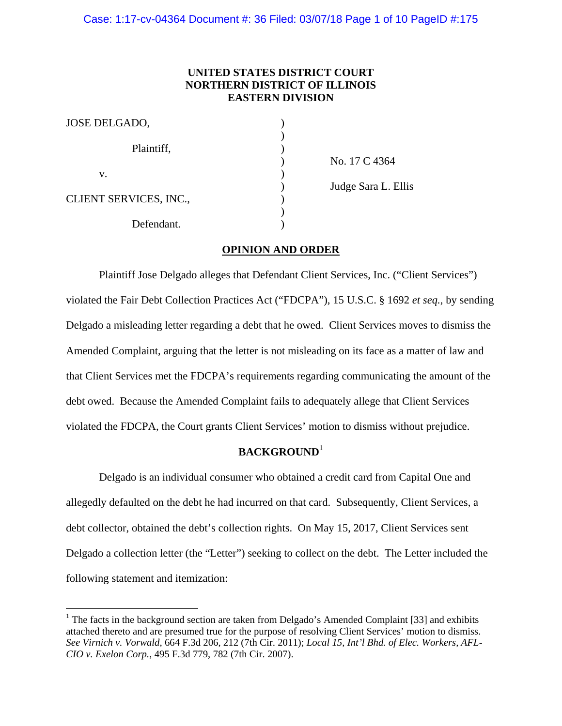## **UNITED STATES DISTRICT COURT NORTHERN DISTRICT OF ILLINOIS EASTERN DIVISION**

| <b>JOSE DELGADO,</b>   |  |
|------------------------|--|
| Plaintiff,             |  |
| v.                     |  |
| CLIENT SERVICES, INC., |  |
| Defendant.             |  |

 $\overline{a}$ 

 ) No. 17 C 4364 ) Judge Sara L. Ellis

## **OPINION AND ORDER**

 Plaintiff Jose Delgado alleges that Defendant Client Services, Inc. ("Client Services") violated the Fair Debt Collection Practices Act ("FDCPA"), 15 U.S.C. § 1692 *et seq.*, by sending Delgado a misleading letter regarding a debt that he owed. Client Services moves to dismiss the Amended Complaint, arguing that the letter is not misleading on its face as a matter of law and that Client Services met the FDCPA's requirements regarding communicating the amount of the debt owed. Because the Amended Complaint fails to adequately allege that Client Services violated the FDCPA, the Court grants Client Services' motion to dismiss without prejudice.

# **BACKGROUND**<sup>1</sup>

 Delgado is an individual consumer who obtained a credit card from Capital One and allegedly defaulted on the debt he had incurred on that card. Subsequently, Client Services, a debt collector, obtained the debt's collection rights. On May 15, 2017, Client Services sent Delgado a collection letter (the "Letter") seeking to collect on the debt. The Letter included the following statement and itemization:

<sup>&</sup>lt;sup>1</sup> The facts in the background section are taken from Delgado's Amended Complaint [33] and exhibits attached thereto and are presumed true for the purpose of resolving Client Services' motion to dismiss. *See Virnich v. Vorwald*, 664 F.3d 206, 212 (7th Cir. 2011); *Local 15, Int'l Bhd. of Elec. Workers, AFL-CIO v. Exelon Corp.*, 495 F.3d 779, 782 (7th Cir. 2007).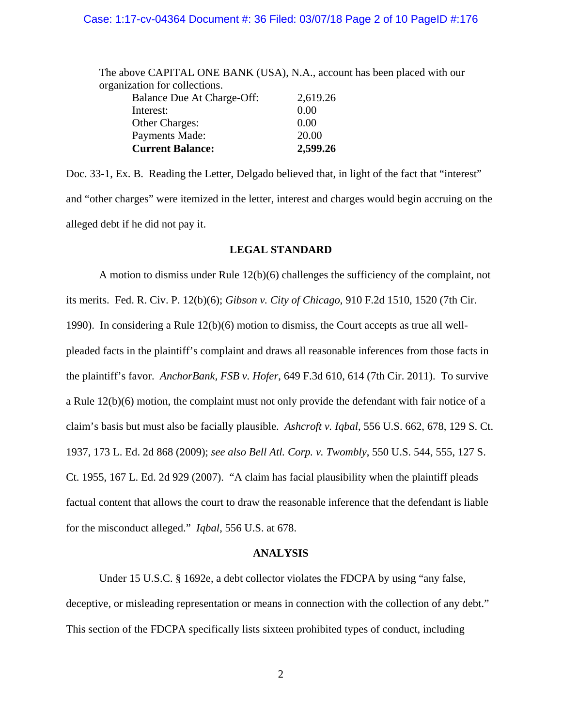#### Case: 1:17-cv-04364 Document #: 36 Filed: 03/07/18 Page 2 of 10 PageID #:176

|                               | The above CAPITAL ONE BANK (USA), N.A., account has been placed with our |
|-------------------------------|--------------------------------------------------------------------------|
| organization for collections. |                                                                          |
| Balance Due At Charge-Off:    | 2,619.26                                                                 |
| Interest:                     | 0.00                                                                     |
| <b>Other Charges:</b>         | 0.00                                                                     |
| Payments Made:                | 20.00                                                                    |
| <b>Current Balance:</b>       | 2,599.26                                                                 |

Doc. 33-1, Ex. B. Reading the Letter, Delgado believed that, in light of the fact that "interest" and "other charges" were itemized in the letter, interest and charges would begin accruing on the alleged debt if he did not pay it.

### **LEGAL STANDARD**

 A motion to dismiss under Rule 12(b)(6) challenges the sufficiency of the complaint, not its merits. Fed. R. Civ. P. 12(b)(6); *Gibson v. City of Chicago*, 910 F.2d 1510, 1520 (7th Cir. 1990). In considering a Rule 12(b)(6) motion to dismiss, the Court accepts as true all wellpleaded facts in the plaintiff's complaint and draws all reasonable inferences from those facts in the plaintiff's favor. *AnchorBank, FSB v. Hofer*, 649 F.3d 610, 614 (7th Cir. 2011). To survive a Rule 12(b)(6) motion, the complaint must not only provide the defendant with fair notice of a claim's basis but must also be facially plausible. *Ashcroft v. Iqbal*, 556 U.S. 662, 678, 129 S. Ct. 1937, 173 L. Ed. 2d 868 (2009); *see also Bell Atl. Corp. v. Twombly*, 550 U.S. 544, 555, 127 S. Ct. 1955, 167 L. Ed. 2d 929 (2007). "A claim has facial plausibility when the plaintiff pleads factual content that allows the court to draw the reasonable inference that the defendant is liable for the misconduct alleged." *Iqbal*, 556 U.S. at 678.

#### **ANALYSIS**

 Under 15 U.S.C. § 1692e, a debt collector violates the FDCPA by using "any false, deceptive, or misleading representation or means in connection with the collection of any debt." This section of the FDCPA specifically lists sixteen prohibited types of conduct, including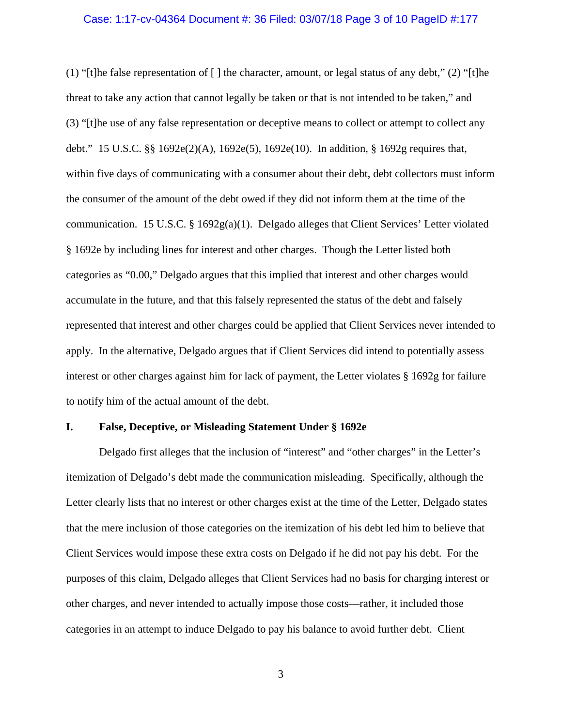### Case: 1:17-cv-04364 Document #: 36 Filed: 03/07/18 Page 3 of 10 PageID #:177

(1) "[t]he false representation of [ ] the character, amount, or legal status of any debt," (2) "[t]he threat to take any action that cannot legally be taken or that is not intended to be taken," and (3) "[t]he use of any false representation or deceptive means to collect or attempt to collect any debt." 15 U.S.C. §§ 1692e(2)(A), 1692e(5), 1692e(10). In addition, § 1692g requires that, within five days of communicating with a consumer about their debt, debt collectors must inform the consumer of the amount of the debt owed if they did not inform them at the time of the communication. 15 U.S.C. § 1692g(a)(1). Delgado alleges that Client Services' Letter violated § 1692e by including lines for interest and other charges. Though the Letter listed both categories as "0.00," Delgado argues that this implied that interest and other charges would accumulate in the future, and that this falsely represented the status of the debt and falsely represented that interest and other charges could be applied that Client Services never intended to apply. In the alternative, Delgado argues that if Client Services did intend to potentially assess interest or other charges against him for lack of payment, the Letter violates § 1692g for failure to notify him of the actual amount of the debt.

### **I. False, Deceptive, or Misleading Statement Under § 1692e**

 Delgado first alleges that the inclusion of "interest" and "other charges" in the Letter's itemization of Delgado's debt made the communication misleading. Specifically, although the Letter clearly lists that no interest or other charges exist at the time of the Letter, Delgado states that the mere inclusion of those categories on the itemization of his debt led him to believe that Client Services would impose these extra costs on Delgado if he did not pay his debt. For the purposes of this claim, Delgado alleges that Client Services had no basis for charging interest or other charges, and never intended to actually impose those costs—rather, it included those categories in an attempt to induce Delgado to pay his balance to avoid further debt. Client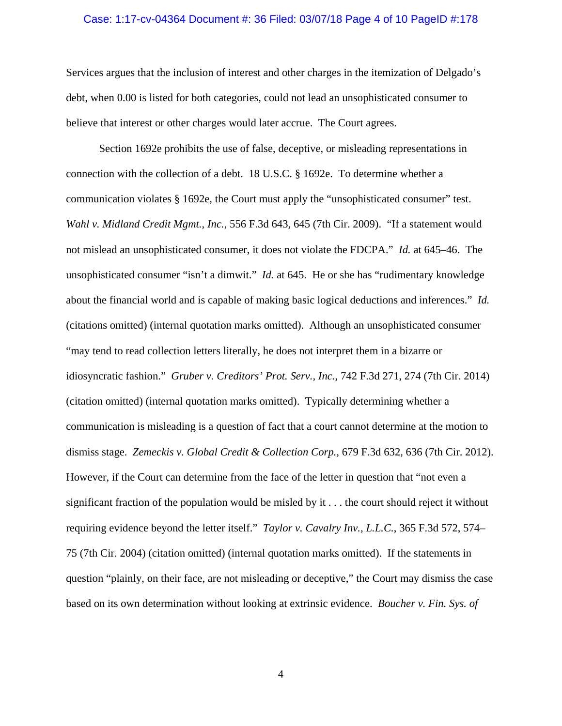#### Case: 1:17-cv-04364 Document #: 36 Filed: 03/07/18 Page 4 of 10 PageID #:178

Services argues that the inclusion of interest and other charges in the itemization of Delgado's debt, when 0.00 is listed for both categories, could not lead an unsophisticated consumer to believe that interest or other charges would later accrue. The Court agrees.

 Section 1692e prohibits the use of false, deceptive, or misleading representations in connection with the collection of a debt. 18 U.S.C. § 1692e. To determine whether a communication violates § 1692e, the Court must apply the "unsophisticated consumer" test. *Wahl v. Midland Credit Mgmt., Inc.*, 556 F.3d 643, 645 (7th Cir. 2009). "If a statement would not mislead an unsophisticated consumer, it does not violate the FDCPA." *Id.* at 645–46. The unsophisticated consumer "isn't a dimwit." *Id.* at 645. He or she has "rudimentary knowledge about the financial world and is capable of making basic logical deductions and inferences." *Id.* (citations omitted) (internal quotation marks omitted). Although an unsophisticated consumer "may tend to read collection letters literally, he does not interpret them in a bizarre or idiosyncratic fashion." *Gruber v. Creditors' Prot. Serv., Inc.*, 742 F.3d 271, 274 (7th Cir. 2014) (citation omitted) (internal quotation marks omitted). Typically determining whether a communication is misleading is a question of fact that a court cannot determine at the motion to dismiss stage. *Zemeckis v. Global Credit & Collection Corp.*, 679 F.3d 632, 636 (7th Cir. 2012). However, if the Court can determine from the face of the letter in question that "not even a significant fraction of the population would be misled by it . . . the court should reject it without requiring evidence beyond the letter itself." *Taylor v. Cavalry Inv., L.L.C.*, 365 F.3d 572, 574– 75 (7th Cir. 2004) (citation omitted) (internal quotation marks omitted). If the statements in question "plainly, on their face, are not misleading or deceptive," the Court may dismiss the case based on its own determination without looking at extrinsic evidence. *Boucher v. Fin. Sys. of*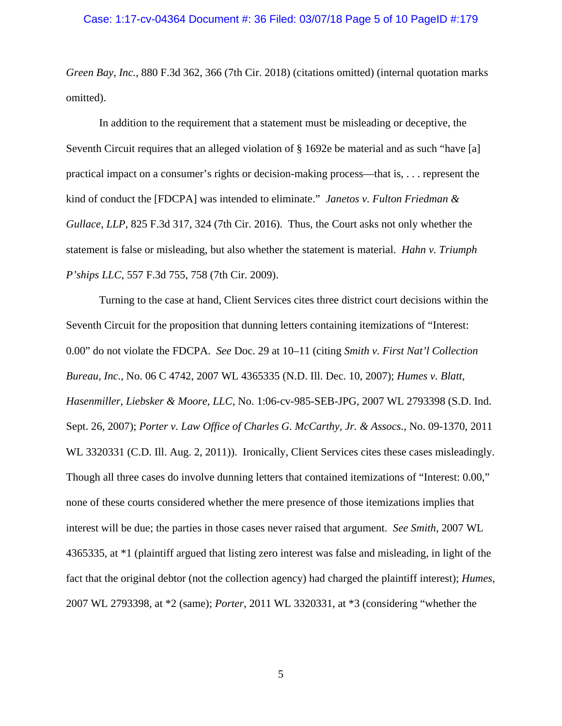*Green Bay, Inc.*, 880 F.3d 362, 366 (7th Cir. 2018) (citations omitted) (internal quotation marks omitted).

 In addition to the requirement that a statement must be misleading or deceptive, the Seventh Circuit requires that an alleged violation of § 1692e be material and as such "have [a] practical impact on a consumer's rights or decision-making process—that is, . . . represent the kind of conduct the [FDCPA] was intended to eliminate." *Janetos v. Fulton Friedman & Gullace, LLP*, 825 F.3d 317, 324 (7th Cir. 2016). Thus, the Court asks not only whether the statement is false or misleading, but also whether the statement is material. *Hahn v. Triumph P'ships LLC*, 557 F.3d 755, 758 (7th Cir. 2009).

 Turning to the case at hand, Client Services cites three district court decisions within the Seventh Circuit for the proposition that dunning letters containing itemizations of "Interest: 0.00" do not violate the FDCPA. *See* Doc. 29 at 10–11 (citing *Smith v. First Nat'l Collection Bureau, Inc.*, No. 06 C 4742, 2007 WL 4365335 (N.D. Ill. Dec. 10, 2007); *Humes v. Blatt, Hasenmiller, Liebsker & Moore, LLC*, No. 1:06-cv-985-SEB-JPG, 2007 WL 2793398 (S.D. Ind. Sept. 26, 2007); *Porter v. Law Office of Charles G. McCarthy, Jr. & Assocs.*, No. 09-1370, 2011 WL 3320331 (C.D. Ill. Aug. 2, 2011)). Ironically, Client Services cites these cases misleadingly. Though all three cases do involve dunning letters that contained itemizations of "Interest: 0.00," none of these courts considered whether the mere presence of those itemizations implies that interest will be due; the parties in those cases never raised that argument. *See Smith*, 2007 WL 4365335, at \*1 (plaintiff argued that listing zero interest was false and misleading, in light of the fact that the original debtor (not the collection agency) had charged the plaintiff interest); *Humes*, 2007 WL 2793398, at \*2 (same); *Porter*, 2011 WL 3320331, at \*3 (considering "whether the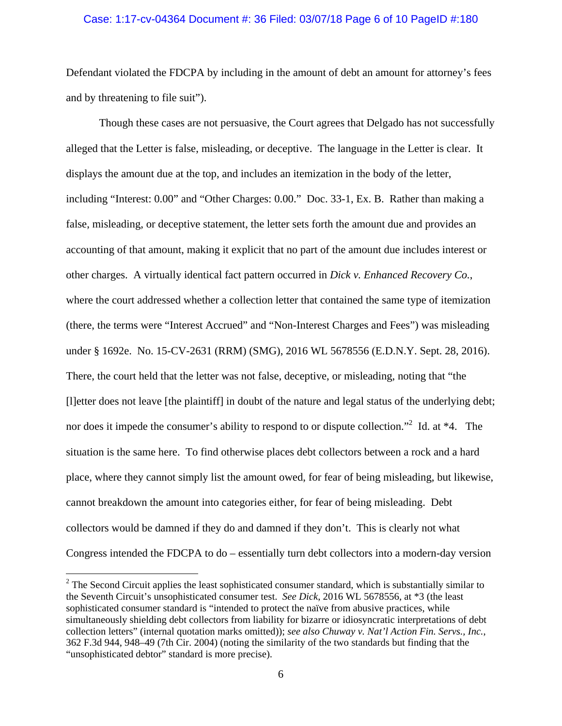#### Case: 1:17-cv-04364 Document #: 36 Filed: 03/07/18 Page 6 of 10 PageID #:180

Defendant violated the FDCPA by including in the amount of debt an amount for attorney's fees and by threatening to file suit").

 Though these cases are not persuasive, the Court agrees that Delgado has not successfully alleged that the Letter is false, misleading, or deceptive. The language in the Letter is clear. It displays the amount due at the top, and includes an itemization in the body of the letter, including "Interest: 0.00" and "Other Charges: 0.00." Doc. 33-1, Ex. B. Rather than making a false, misleading, or deceptive statement, the letter sets forth the amount due and provides an accounting of that amount, making it explicit that no part of the amount due includes interest or other charges. A virtually identical fact pattern occurred in *Dick v. Enhanced Recovery Co.*, where the court addressed whether a collection letter that contained the same type of itemization (there, the terms were "Interest Accrued" and "Non-Interest Charges and Fees") was misleading under § 1692e. No. 15-CV-2631 (RRM) (SMG), 2016 WL 5678556 (E.D.N.Y. Sept. 28, 2016). There, the court held that the letter was not false, deceptive, or misleading, noting that "the [l]etter does not leave [the plaintiff] in doubt of the nature and legal status of the underlying debt; nor does it impede the consumer's ability to respond to or dispute collection."<sup>2</sup> Id. at \*4. The situation is the same here. To find otherwise places debt collectors between a rock and a hard place, where they cannot simply list the amount owed, for fear of being misleading, but likewise, cannot breakdown the amount into categories either, for fear of being misleading. Debt collectors would be damned if they do and damned if they don't. This is clearly not what Congress intended the FDCPA to do – essentially turn debt collectors into a modern-day version

 $\overline{a}$ 

 $2$  The Second Circuit applies the least sophisticated consumer standard, which is substantially similar to the Seventh Circuit's unsophisticated consumer test. *See Dick*, 2016 WL 5678556, at \*3 (the least sophisticated consumer standard is "intended to protect the naïve from abusive practices, while simultaneously shielding debt collectors from liability for bizarre or idiosyncratic interpretations of debt collection letters" (internal quotation marks omitted)); *see also Chuway v. Nat'l Action Fin. Servs., Inc.*, 362 F.3d 944, 948–49 (7th Cir. 2004) (noting the similarity of the two standards but finding that the "unsophisticated debtor" standard is more precise).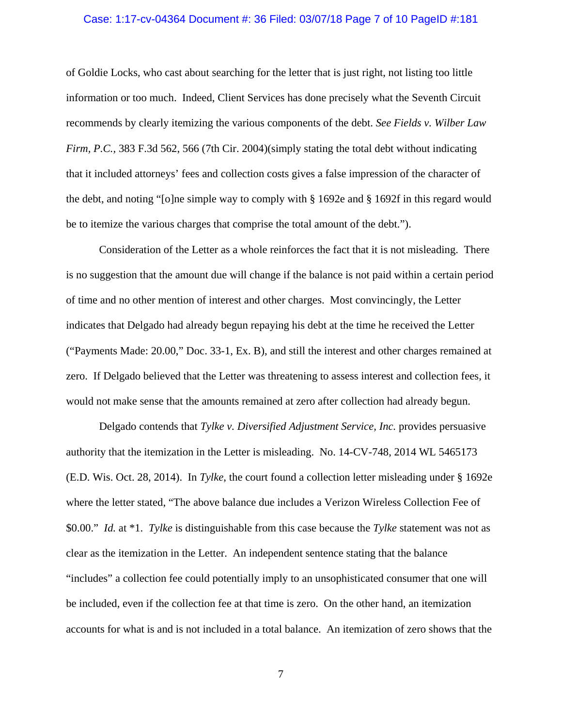### Case: 1:17-cv-04364 Document #: 36 Filed: 03/07/18 Page 7 of 10 PageID #:181

of Goldie Locks, who cast about searching for the letter that is just right, not listing too little information or too much. Indeed, Client Services has done precisely what the Seventh Circuit recommends by clearly itemizing the various components of the debt. *See Fields v. Wilber Law Firm, P.C.,* 383 F.3d 562, 566 (7th Cir. 2004)(simply stating the total debt without indicating that it included attorneys' fees and collection costs gives a false impression of the character of the debt, and noting "[o]ne simple way to comply with § 1692e and § 1692f in this regard would be to itemize the various charges that comprise the total amount of the debt.").

 Consideration of the Letter as a whole reinforces the fact that it is not misleading. There is no suggestion that the amount due will change if the balance is not paid within a certain period of time and no other mention of interest and other charges. Most convincingly, the Letter indicates that Delgado had already begun repaying his debt at the time he received the Letter ("Payments Made: 20.00," Doc. 33-1, Ex. B), and still the interest and other charges remained at zero. If Delgado believed that the Letter was threatening to assess interest and collection fees, it would not make sense that the amounts remained at zero after collection had already begun.

 Delgado contends that *Tylke v. Diversified Adjustment Service, Inc.* provides persuasive authority that the itemization in the Letter is misleading. No. 14-CV-748, 2014 WL 5465173 (E.D. Wis. Oct. 28, 2014). In *Tylke*, the court found a collection letter misleading under § 1692e where the letter stated, "The above balance due includes a Verizon Wireless Collection Fee of \$0.00." *Id.* at \*1. *Tylke* is distinguishable from this case because the *Tylke* statement was not as clear as the itemization in the Letter. An independent sentence stating that the balance "includes" a collection fee could potentially imply to an unsophisticated consumer that one will be included, even if the collection fee at that time is zero. On the other hand, an itemization accounts for what is and is not included in a total balance. An itemization of zero shows that the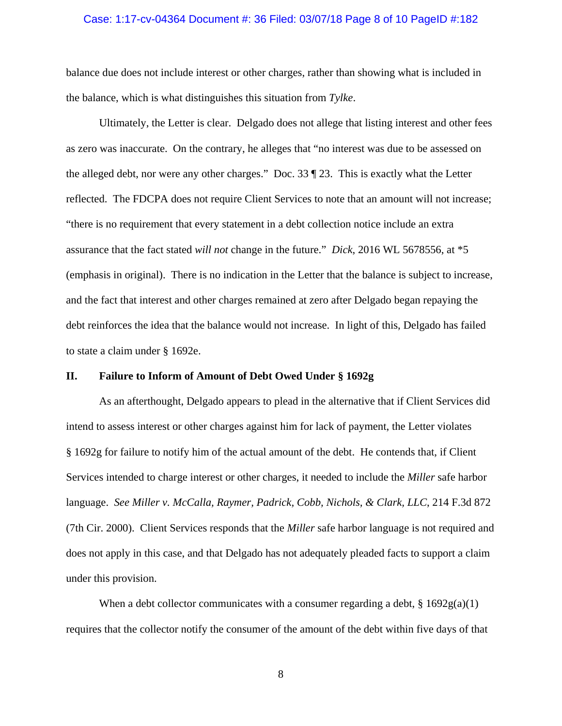#### Case: 1:17-cv-04364 Document #: 36 Filed: 03/07/18 Page 8 of 10 PageID #:182

balance due does not include interest or other charges, rather than showing what is included in the balance, which is what distinguishes this situation from *Tylke*.

 Ultimately, the Letter is clear. Delgado does not allege that listing interest and other fees as zero was inaccurate. On the contrary, he alleges that "no interest was due to be assessed on the alleged debt, nor were any other charges." Doc. 33 ¶ 23. This is exactly what the Letter reflected. The FDCPA does not require Client Services to note that an amount will not increase; "there is no requirement that every statement in a debt collection notice include an extra assurance that the fact stated *will not* change in the future." *Dick*, 2016 WL 5678556, at \*5 (emphasis in original). There is no indication in the Letter that the balance is subject to increase, and the fact that interest and other charges remained at zero after Delgado began repaying the debt reinforces the idea that the balance would not increase. In light of this, Delgado has failed to state a claim under § 1692e.

### **II. Failure to Inform of Amount of Debt Owed Under § 1692g**

As an afterthought, Delgado appears to plead in the alternative that if Client Services did intend to assess interest or other charges against him for lack of payment, the Letter violates § 1692g for failure to notify him of the actual amount of the debt. He contends that, if Client Services intended to charge interest or other charges, it needed to include the *Miller* safe harbor language. *See Miller v. McCalla, Raymer, Padrick, Cobb, Nichols, & Clark, LLC*, 214 F.3d 872 (7th Cir. 2000). Client Services responds that the *Miller* safe harbor language is not required and does not apply in this case, and that Delgado has not adequately pleaded facts to support a claim under this provision.

When a debt collector communicates with a consumer regarding a debt,  $\S 1692g(a)(1)$ requires that the collector notify the consumer of the amount of the debt within five days of that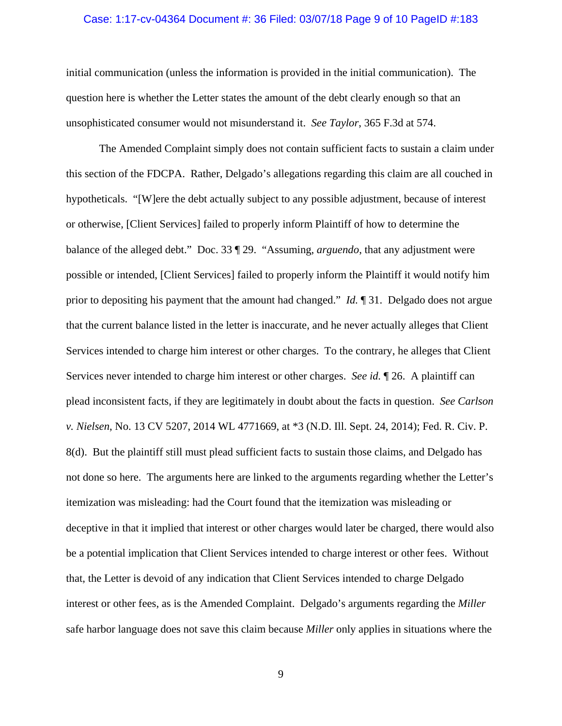#### Case: 1:17-cv-04364 Document #: 36 Filed: 03/07/18 Page 9 of 10 PageID #:183

initial communication (unless the information is provided in the initial communication). The question here is whether the Letter states the amount of the debt clearly enough so that an unsophisticated consumer would not misunderstand it. *See Taylor*, 365 F.3d at 574.

 The Amended Complaint simply does not contain sufficient facts to sustain a claim under this section of the FDCPA. Rather, Delgado's allegations regarding this claim are all couched in hypotheticals. "[W]ere the debt actually subject to any possible adjustment, because of interest or otherwise, [Client Services] failed to properly inform Plaintiff of how to determine the balance of the alleged debt." Doc. 33 ¶ 29. "Assuming, *arguendo*, that any adjustment were possible or intended, [Client Services] failed to properly inform the Plaintiff it would notify him prior to depositing his payment that the amount had changed." *Id.* ¶ 31. Delgado does not argue that the current balance listed in the letter is inaccurate, and he never actually alleges that Client Services intended to charge him interest or other charges. To the contrary, he alleges that Client Services never intended to charge him interest or other charges. *See id.* ¶ 26. A plaintiff can plead inconsistent facts, if they are legitimately in doubt about the facts in question. *See Carlson v. Nielsen*, No. 13 CV 5207, 2014 WL 4771669, at \*3 (N.D. Ill. Sept. 24, 2014); Fed. R. Civ. P. 8(d). But the plaintiff still must plead sufficient facts to sustain those claims, and Delgado has not done so here. The arguments here are linked to the arguments regarding whether the Letter's itemization was misleading: had the Court found that the itemization was misleading or deceptive in that it implied that interest or other charges would later be charged, there would also be a potential implication that Client Services intended to charge interest or other fees. Without that, the Letter is devoid of any indication that Client Services intended to charge Delgado interest or other fees, as is the Amended Complaint. Delgado's arguments regarding the *Miller* safe harbor language does not save this claim because *Miller* only applies in situations where the